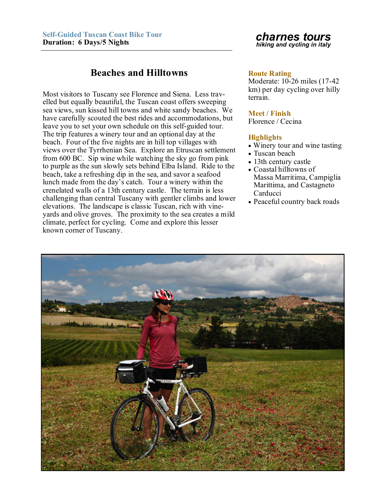# **Beaches and Hilltowns Route Rating**

Most visitors to Tuscany see Florence and Siena. Less travelled but equally beautiful, the Tuscan coast offers sweeping sea views, sun kissed hill towns and white sandy beaches. We have carefully scouted the best rides and accommodations, but leave you to set your own schedule on this self-guided tour. The trip features a winery tour and an optional day at the beach. Four of the five nights are in hill top villages with views over the Tyrrhenian Sea. Explore an Etruscan settlement from 600 BC. Sip wine while watching the sky go from pink to purple as the sun slowly sets behind Elba Island. Ride to the beach, take a refreshing dip in the sea, and savor a seafood lunch made from the day's catch. Tour a winery within the crenelated walls of a 13th century castle. The terrain is less challenging than central Tuscany with gentler climbs and lower elevations. The landscape is classic Tuscan, rich with vineyards and olive groves. The proximity to the sea creates a mild climate, perfect for cycling. Come and explore this lesser known corner of Tuscany.

## *charnes tours hiking and cycling in italy*

Moderate: 10-26 miles (17-42 km) per day cycling over hilly terrain.

### **Meet / Finish**

Florence / Cecina

## **Highlights**

- Winery tour and wine tasting
- Tuscan beach
- 13th century castle Coastal hilltowns of Massa Marritima, Campiglia Marittima, and Castagneto Carducci
- Peaceful country back roads

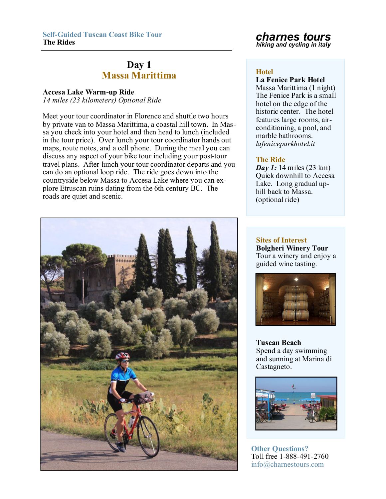# **Day 1 Massa Marittima Hotel**

# **Accesa Lake Warm-up Ride**

*14 miles (23 kilometers) Optional Ride* 

Meet your tour coordinator in Florence and shuttle two hours by private van to Massa Marittima, a coastal hill town. In Massa you check into your hotel and then head to lunch (included in the tour price). Over lunch your tour coordinator hands out maps, route notes, and a cell phone. During the meal you can discuss any aspect of your bike tour including your post-tour travel plans. After lunch your tour coordinator departs and you can do an optional loop ride. The ride goes down into the countryside below Massa to Accesa Lake where you can explore Etruscan ruins dating from the 6th century BC. The roads are quiet and scenic.

# *charnes tours hiking and cycling in italy*

**La Fenice Park Hotel** Massa Marittima (1 night) The Fenice Park is a small hotel on the edge of the historic center. The hotel features large rooms, airconditioning, a pool, and marble bathrooms. *lafeniceparkhotel.it*

## **The Ride**

*Day 1:* 14 miles (23 km) Quick downhill to Accesa Lake. Long gradual uphill back to Massa. (optional ride)

**Sites of Interest Bolgheri Winery Tour** Tour a winery and enjoy a guided wine tasting.



**Tuscan Beach** Spend a day swimming and sunning at Marina di Castagneto.



**Other Questions?** Toll free 1-888-491-2760 info@charnestours.com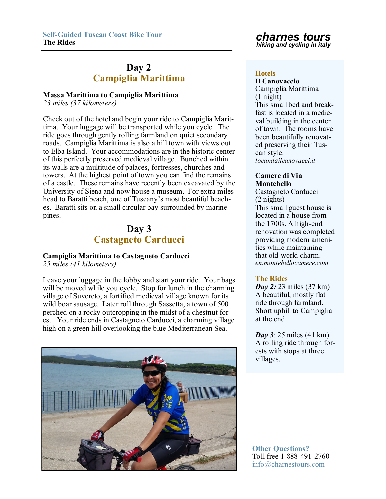# **Day 2 Campiglia Marittima Hotels**<br> **Hotels**

## **Massa Marittima to Campiglia Marittima**

*23 miles (37 kilometers)*

Check out of the hotel and begin your ride to Campiglia Marittima. Your luggage will be transported while you cycle. The ride goes through gently rolling farmland on quiet secondary roads. Campiglia Marittima is also a hill town with views out to Elba Island. Your accommodations are in the historic center of this perfectly preserved medieval village. Bunched within its walls are a multitude of palaces, fortresses, churches and towers. At the highest point of town you can find the remains of a castle. These remains have recently been excavated by the University of Siena and now house a museum. For extra miles head to Baratti beach, one of Tuscany's most beautiful beaches. Baratti sits on a small circular bay surrounded by marine pines.

# **Day 3 Castagneto Carducci**

# **Campiglia Marittima to Castagneto Carducci**

*25 miles (41 kilometers)*

Leave your luggage in the lobby and start your ride. Your bags will be moved while you cycle. Stop for lunch in the charming village of Suvereto, a fortified medieval village known for its wild boar sausage. Later roll through Sassetta, a town of 500 perched on a rocky outcropping in the midst of a chestnut forest. Your ride ends in Castagneto Carducci, a charming village high on a green hill overlooking the blue Mediterranean Sea.



# *charnes tours hiking and cycling in italy*

**Il Canovaccio** Campiglia Marittima (1 night) This small bed and breakfast is located in a medieval building in the center of town. The rooms have been beautifully renovated preserving their Tuscan style. *locandailcanovacci.it*

### **Camere di Via Montebello**

Castagneto Carducci (2 nights) This small guest house is located in a house from the 1700s. A high-end renovation was completed providing modern amenities while maintaining that old-world charm. *en.montebellocamere.com*

## **The Rides**

*Day 2: 23 miles (37 km)* A beautiful, mostly flat ride through farmland. Short uphill to Campiglia at the end.

*Day 3*: 25 miles (41 km) A rolling ride through forests with stops at three villages.

**Other Questions?** Toll free 1-888-491-2760 info@charnestours.com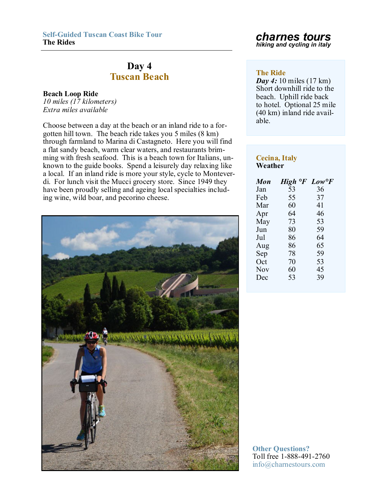# **Day 4 Tuscan Beach The Ride**

## **Beach Loop Ride**

*10 miles (17 kilometers) Extra miles available*

Choose between a day at the beach or an inland ride to a forgotten hill town. The beach ride takes you 5 miles (8 km) through farmland to Marina di Castagneto. Here you will find a flat sandy beach, warm clear waters, and restaurants brimming with fresh seafood. This is a beach town for Italians, unknown to the guide books. Spend a leisurely day relaxing like a local. If an inland ride is more your style, cycle to Monteverdi. For lunch visit the Mucci grocery store. Since 1949 they have been proudly selling and ageing local specialties including wine, wild boar, and pecorino cheese.



**The Rides** *charnes tours hiking and cycling in italy*

*Day 4:* 10 miles (17 km) Short downhill ride to the beach. Uphill ride back to hotel. Optional 25 mile (40 km) inland ride available.

## **Cecina, Italy Weather**

| Mon | $\circ$ F<br><b>High</b> | $Low \degree F$ |
|-----|--------------------------|-----------------|
| Jan | 53                       | 36              |
| Feb | 55                       | 37              |
| Mar | 60                       | 41              |
| Apr | 64                       | 46              |
| May | 73                       | 53              |
| Jun | 80                       | 59              |
| Jul | 86                       | 64              |
| Aug | 86                       | 65              |
| Sep | 78                       | 59              |
| Oct | 70                       | 53              |
| Nov | 60                       | 45              |
| Dec | 53                       | 39              |
|     |                          |                 |

**Other Questions?** Toll free 1-888-491-2760 info@charnestours.com